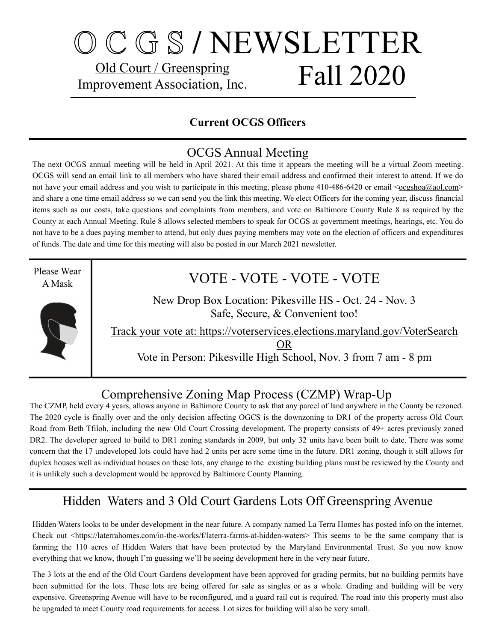## O C G S **/** NEWSLETTER Old Court / Greenspring Improvement Association, Inc. Fall 2020

#### **Current OCGS Officers**

#### OCGS Annual Meeting

The next OCGS annual meeting will be held in April 2021. At this time it appears the meeting will be a virtual Zoom meeting. OCGS will send an email link to all members who have shared their email address and confirmed their interest to attend. If we do not have your email address and you wish to participate in this meeting, please phone 410-486-6420 or email [<ocgshoa@aol.com](mailto:ocgshoa@aol.com)> and share a one time email address so we can send you the link this meeting. We elect Officers for the coming year, discuss financial items such as our costs, take questions and complaints from members, and vote on Baltimore County Rule 8 as required by the County at each Annual Meeting. Rule 8 allows selected members to speak for OCGS at government meetings, hearings, etc. You do not have to be a dues paying member to attend, but only dues paying members may vote on the election of officers and expenditures of funds. The date and time for this meeting will also be posted in our March 2021 newsletter.

Please Wear A Mask



### VOTE - VOTE - VOTE - VOTE

New Drop Box Location: Pikesville HS - Oct. 24 - Nov. 3 Safe, Secure, & Convenient too!

Track your vote at: https://voterservices.elections.maryland.gov/VoterSearch

OR

Vote in Person: Pikesville High School, Nov. 3 from 7 am - 8 pm

#### Comprehensive Zoning Map Process (CZMP) Wrap-Up

The CZMP, held every 4 years, allows anyone in Baltimore County to ask that any parcel of land anywhere in the County be rezoned. The 2020 cycle is finally over and the only decision affecting OGCS is the downzoning to DR1 of the property across Old Court Road from Beth Tfiloh, including the new Old Court Crossing development. The property consists of 49+ acres previously zoned DR2. The developer agreed to build to DR1 zoning standards in 2009, but only 32 units have been built to date. There was some concern that the 17 undeveloped lots could have had 2 units per acre some time in the future. DR1 zoning, though it still allows for duplex houses well as individual houses on these lots, any change to the existing building plans must be reviewed by the County and it is unlikely such a development would be approved by Baltimore County Planning.

#### Hidden Waters and 3 Old Court Gardens Lots Off Greenspring Avenue

Hidden Waters looks to be under development in the near future. A company named La Terra Homes has posted info on the internet. Check out <[https://laterrahomes.com/in-the-works/f/laterra-farms-at-hidden-waters>](https://laterrahomes.com/in-the-works/f/laterra-farms-at-hidden-waters) This seems to be the same company that is farming the 110 acres of Hidden Waters that have been protected by the Maryland Environmental Trust. So you now know everything that we know, though I'm guessing we'll be seeing development here in the very near future.

The 3 lots at the end of the Old Court Gardens development have been approved for grading permits, but no building permits have been submitted for the lots. These lots are being offered for sale as singles or as a whole. Grading and building will be very expensive. Greenspring Avenue will have to be reconfigured, and a guard rail cut is required. The road into this property must also be upgraded to meet County road requirements for access. Lot sizes for building will also be very small.